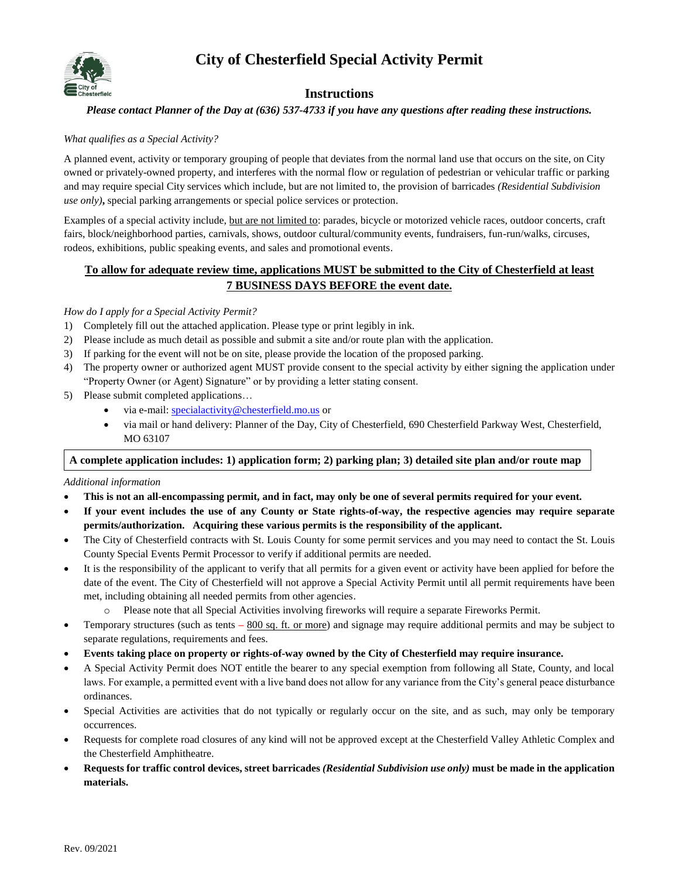## **City of Chesterfield Special Activity Permit**



### **Instructions**

#### *Please contact Planner of the Day at (636) 537-4733 if you have any questions after reading these instructions.*

#### *What qualifies as a Special Activity?*

A planned event, activity or temporary grouping of people that deviates from the normal land use that occurs on the site, on City owned or privately-owned property, and interferes with the normal flow or regulation of pedestrian or vehicular traffic or parking and may require special City services which include, but are not limited to, the provision of barricades *(Residential Subdivision use only)***,** special parking arrangements or special police services or protection.

Examples of a special activity include, but are not limited to: parades, bicycle or motorized vehicle races, outdoor concerts, craft fairs, block/neighborhood parties, carnivals, shows, outdoor cultural/community events, fundraisers, fun-run/walks, circuses, rodeos, exhibitions, public speaking events, and sales and promotional events.

#### **To allow for adequate review time, applications MUST be submitted to the City of Chesterfield at least 7 BUSINESS DAYS BEFORE the event date.**

#### *How do I apply for a Special Activity Permit?*

- 1) Completely fill out the attached application. Please type or print legibly in ink.
- 2) Please include as much detail as possible and submit a site and/or route plan with the application.
- 3) If parking for the event will not be on site, please provide the location of the proposed parking.
- 4) The property owner or authorized agent MUST provide consent to the special activity by either signing the application under "Property Owner (or Agent) Signature" or by providing a letter stating consent.
- 5) Please submit completed applications…
	- via e-mail: [specialactivity@chesterfield.mo.us](mailto:specialactivity@chesterfield.mo.us) or
	- via mail or hand delivery: Planner of the Day, City of Chesterfield, 690 Chesterfield Parkway West, Chesterfield, MO 63107

#### **A complete application includes: 1) application form; 2) parking plan; 3) detailed site plan and/or route map**

#### *Additional information*

- **This is not an all-encompassing permit, and in fact, may only be one of several permits required for your event.**
- **If your event includes the use of any County or State rights-of-way, the respective agencies may require separate permits/authorization. Acquiring these various permits is the responsibility of the applicant.**
- The City of Chesterfield contracts with St. Louis County for some permit services and you may need to contact the St. Louis County Special Events Permit Processor to verify if additional permits are needed.
- It is the responsibility of the applicant to verify that all permits for a given event or activity have been applied for before the date of the event. The City of Chesterfield will not approve a Special Activity Permit until all permit requirements have been met, including obtaining all needed permits from other agencies.
	- o Please note that all Special Activities involving fireworks will require a separate Fireworks Permit.
- Temporary structures (such as tents 800 sq. ft. or more) and signage may require additional permits and may be subject to separate regulations, requirements and fees.
- **Events taking place on property or rights-of-way owned by the City of Chesterfield may require insurance.**
- A Special Activity Permit does NOT entitle the bearer to any special exemption from following all State, County, and local laws. For example, a permitted event with a live band does not allow for any variance from the City's general peace disturbance ordinances.
- Special Activities are activities that do not typically or regularly occur on the site, and as such, may only be temporary occurrences.
- Requests for complete road closures of any kind will not be approved except at the Chesterfield Valley Athletic Complex and the Chesterfield Amphitheatre.
- **Requests for traffic control devices, street barricades** *(Residential Subdivision use only)* **must be made in the application materials.**